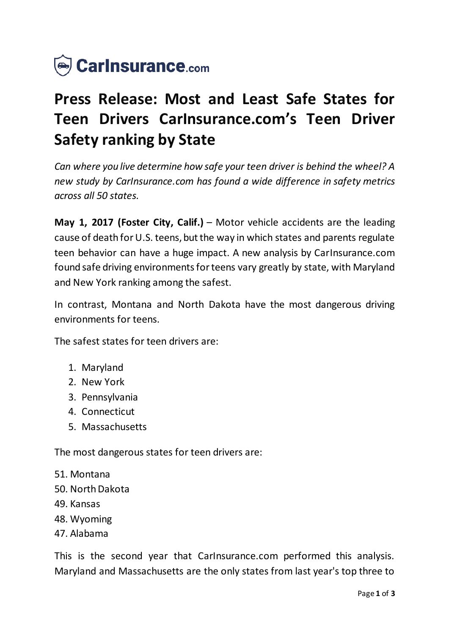

## **Press Release: Most and Least Safe States for Teen Drivers CarInsurance.com's Teen Driver Safety ranking by State**

*Can where you live determine how safe your teen driver is behind the wheel? A new study by CarInsurance.com has found a wide difference in safety metrics across all 50 states.*

**May 1, 2017 (Foster City, Calif.)** – Motor vehicle accidents are the leading cause of death for U.S. teens, but the way in which states and parents regulate teen behavior can have a huge impact. A new analysis by CarInsurance.com found safe driving environments for teens vary greatly by state, with Maryland and New York ranking among the safest.

In contrast, Montana and North Dakota have the most dangerous driving environments for teens.

The safest states for teen drivers are:

- 1. Maryland
- 2. New York
- 3. Pennsylvania
- 4. Connecticut
- 5. Massachusetts

The most dangerous states for teen drivers are:

51. Montana

- 50. North Dakota
- 49. Kansas
- 48. Wyoming
- 47. Alabama

This is the second year that CarInsurance.com performed this analysis. Maryland and Massachusetts are the only states from last year's top three to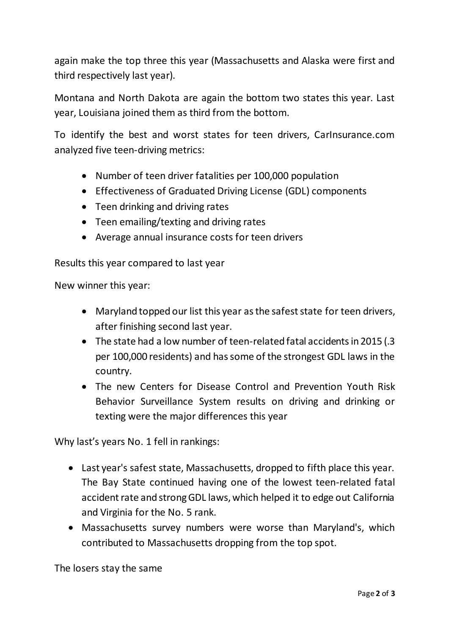again make the top three this year (Massachusetts and Alaska were first and third respectively last year).

Montana and North Dakota are again the bottom two states this year. Last year, Louisiana joined them as third from the bottom.

To identify the best and worst states for teen drivers, CarInsurance.com analyzed five teen-driving metrics:

- Number of teen driver fatalities per 100,000 population
- Effectiveness of Graduated Driving License (GDL) components
- Teen drinking and driving rates
- Teen emailing/texting and driving rates
- Average annual insurance costs for teen drivers

Results this year compared to last year

New winner this year:

- Maryland topped our list this year as the safest state for teen drivers, after finishing second last year.
- The state had a low number of teen-related fatal accidents in 2015 (.3 per 100,000 residents) and has some of the strongest GDL laws in the country.
- The new Centers for Disease Control and Prevention Youth Risk Behavior Surveillance System results on driving and drinking or texting were the major differences this year

Why last's years No. 1 fell in rankings:

- Last year's safest state, Massachusetts, dropped to fifth place this year. The Bay State continued having one of the lowest teen-related fatal accident rate and strong GDL laws, which helped it to edge out California and Virginia for the No. 5 rank.
- Massachusetts survey numbers were worse than Maryland's, which contributed to Massachusetts dropping from the top spot.

The losers stay the same